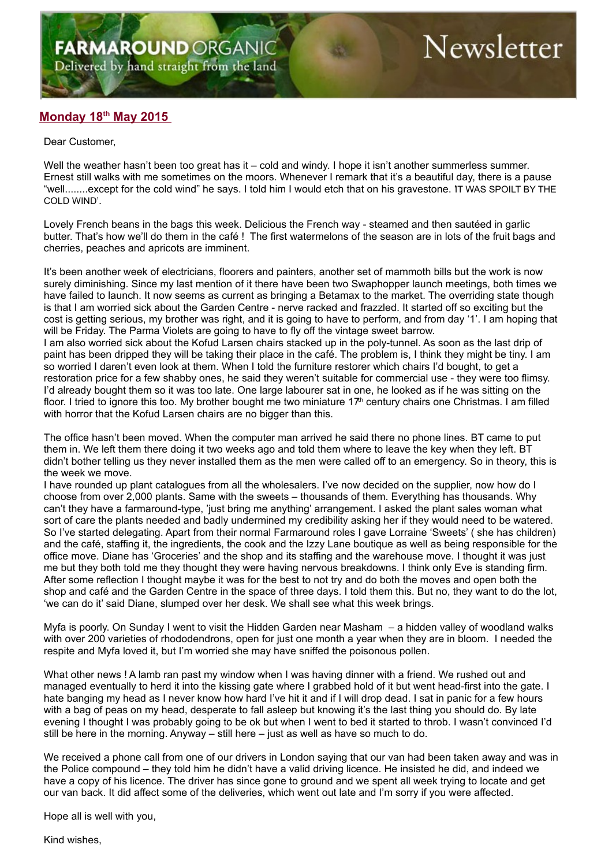## Newsletter

## **Monday 18th May 2015**

## Dear Customer,

Well the weather hasn't been too great has it – cold and windy. I hope it isn't another summerless summer. Ernest still walks with me sometimes on the moors. Whenever I remark that it's a beautiful day, there is a pause "well........except for the cold wind" he says. I told him I would etch that on his gravestone. 'IT WAS SPOILT BY THE COLD WIND'.

Lovely French beans in the bags this week. Delicious the French way - steamed and then sautéed in garlic butter. That's how we'll do them in the café ! The first watermelons of the season are in lots of the fruit bags and cherries, peaches and apricots are imminent.

It's been another week of electricians, floorers and painters, another set of mammoth bills but the work is now surely diminishing. Since my last mention of it there have been two Swaphopper launch meetings, both times we have failed to launch. It now seems as current as bringing a Betamax to the market. The overriding state though is that I am worried sick about the Garden Centre - nerve racked and frazzled. It started off so exciting but the cost is getting serious, my brother was right, and it is going to have to perform, and from day '1'. I am hoping that will be Friday. The Parma Violets are going to have to fly off the vintage sweet barrow.

I am also worried sick about the Kofud Larsen chairs stacked up in the poly-tunnel. As soon as the last drip of paint has been dripped they will be taking their place in the café. The problem is, I think they might be tiny. I am so worried I daren't even look at them. When I told the furniture restorer which chairs I'd bought, to get a restoration price for a few shabby ones, he said they weren't suitable for commercial use - they were too flimsy. I'd already bought them so it was too late. One large labourer sat in one, he looked as if he was sitting on the floor. I tried to ignore this too. My brother bought me two miniature  $17<sup>th</sup>$  century chairs one Christmas. I am filled with horror that the Kofud Larsen chairs are no bigger than this.

The office hasn't been moved. When the computer man arrived he said there no phone lines. BT came to put them in. We left them there doing it two weeks ago and told them where to leave the key when they left. BT didn't bother telling us they never installed them as the men were called off to an emergency. So in theory, this is the week we move.

I have rounded up plant catalogues from all the wholesalers. I've now decided on the supplier, now how do I choose from over 2,000 plants. Same with the sweets – thousands of them. Everything has thousands. Why can't they have a farmaround-type, 'just bring me anything' arrangement. I asked the plant sales woman what sort of care the plants needed and badly undermined my credibility asking her if they would need to be watered. So I've started delegating. Apart from their normal Farmaround roles I gave Lorraine 'Sweets' ( she has children) and the café, staffing it, the ingredients, the cook and the Izzy Lane boutique as well as being responsible for the office move. Diane has 'Groceries' and the shop and its staffing and the warehouse move. I thought it was just me but they both told me they thought they were having nervous breakdowns. I think only Eve is standing firm. After some reflection I thought maybe it was for the best to not try and do both the moves and open both the shop and café and the Garden Centre in the space of three days. I told them this. But no, they want to do the lot, 'we can do it' said Diane, slumped over her desk. We shall see what this week brings.

Myfa is poorly. On Sunday I went to visit the Hidden Garden near Masham – a hidden valley of woodland walks with over 200 varieties of rhododendrons, open for just one month a year when they are in bloom. I needed the respite and Myfa loved it, but I'm worried she may have sniffed the poisonous pollen.

What other news ! A lamb ran past my window when I was having dinner with a friend. We rushed out and managed eventually to herd it into the kissing gate where I grabbed hold of it but went head-first into the gate. I hate banging my head as I never know how hard I've hit it and if I will drop dead. I sat in panic for a few hours with a bag of peas on my head, desperate to fall asleep but knowing it's the last thing you should do. By late evening I thought I was probably going to be ok but when I went to bed it started to throb. I wasn't convinced I'd still be here in the morning. Anyway  $-$  still here  $-$  just as well as have so much to do.

We received a phone call from one of our drivers in London saying that our van had been taken away and was in the Police compound – they told him he didn't have a valid driving licence. He insisted he did, and indeed we have a copy of his licence. The driver has since gone to ground and we spent all week trying to locate and get our van back. It did affect some of the deliveries, which went out late and I'm sorry if you were affected.

Hope all is well with you,

Kind wishes,